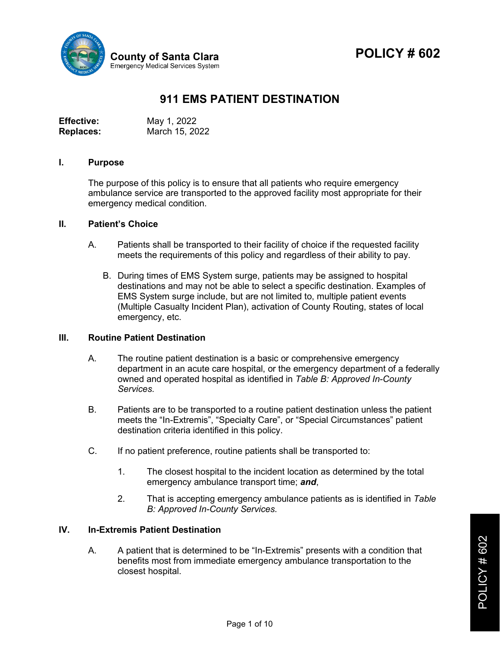

# **POLICY # 602**

## **911 EMS PATIENT DESTINATION**

| Effective:       | May 1, 2022    |
|------------------|----------------|
| <b>Replaces:</b> | March 15, 2022 |

#### **I. Purpose**

The purpose of this policy is to ensure that all patients who require emergency ambulance service are transported to the approved facility most appropriate for their emergency medical condition.

#### **II. Patient's Choice**

- A. Patients shall be transported to their facility of choice if the requested facility meets the requirements of this policy and regardless of their ability to pay.
	- B. During times of EMS System surge, patients may be assigned to hospital destinations and may not be able to select a specific destination. Examples of EMS System surge include, but are not limited to, multiple patient events (Multiple Casualty Incident Plan), activation of County Routing, states of local emergency, etc.

#### **III. Routine Patient Destination**

- A. The routine patient destination is a basic or comprehensive emergency department in an acute care hospital, or the emergency department of a federally owned and operated hospital as identified in *Table B: Approved In-County Services.*
- B. Patients are to be transported to a routine patient destination unless the patient meets the "In-Extremis", "Specialty Care", or "Special Circumstances" patient destination criteria identified in this policy.
- C. If no patient preference, routine patients shall be transported to:
	- 1. The closest hospital to the incident location as determined by the total emergency ambulance transport time; *and*,
	- 2. That is accepting emergency ambulance patients as is identified in *Table B: Approved In-County Services.*

#### **IV. In-Extremis Patient Destination**

A. A patient that is determined to be "In-Extremis" presents with a condition that benefits most from immediate emergency ambulance transportation to the closest hospital.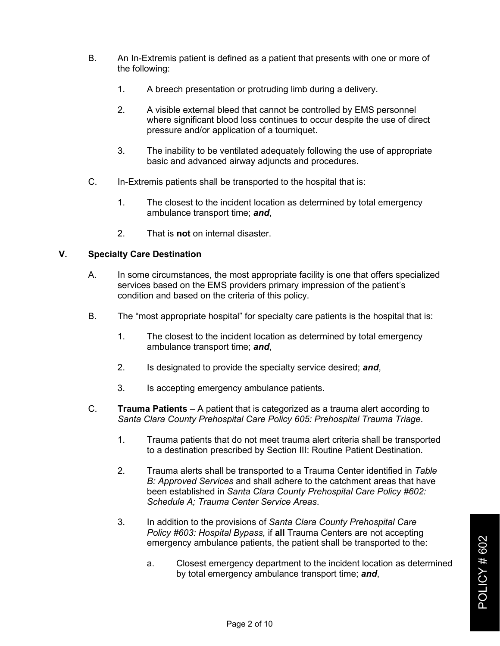- B. An In-Extremis patient is defined as a patient that presents with one or more of the following:
	- 1. A breech presentation or protruding limb during a delivery.
	- 2. A visible external bleed that cannot be controlled by EMS personnel where significant blood loss continues to occur despite the use of direct pressure and/or application of a tourniquet.
	- 3. The inability to be ventilated adequately following the use of appropriate basic and advanced airway adjuncts and procedures.
- C. In-Extremis patients shall be transported to the hospital that is:
	- 1. The closest to the incident location as determined by total emergency ambulance transport time; *and*,
	- 2. That is **not** on internal disaster.

### **V. Specialty Care Destination**

- A. In some circumstances, the most appropriate facility is one that offers specialized services based on the EMS providers primary impression of the patient's condition and based on the criteria of this policy.
- B. The "most appropriate hospital" for specialty care patients is the hospital that is:
	- 1. The closest to the incident location as determined by total emergency ambulance transport time; *and*,
	- 2. Is designated to provide the specialty service desired; *and*,
	- 3. Is accepting emergency ambulance patients.
- C. **Trauma Patients**  A patient that is categorized as a trauma alert according to *Santa Clara County Prehospital Care Policy 605: Prehospital Trauma Triage*.
	- 1. Trauma patients that do not meet trauma alert criteria shall be transported to a destination prescribed by Section III: Routine Patient Destination.
	- 2. Trauma alerts shall be transported to a Trauma Center identified in *Table B: Approved Services* and shall adhere to the catchment areas that have been established in *Santa Clara County Prehospital Care Policy #602: Schedule A; Trauma Center Service Areas*.
	- 3. In addition to the provisions of *Santa Clara County Prehospital Care Policy #603: Hospital Bypass,* if **all** Trauma Centers are not accepting emergency ambulance patients, the patient shall be transported to the:
		- a. Closest emergency department to the incident location as determined by total emergency ambulance transport time; *and*,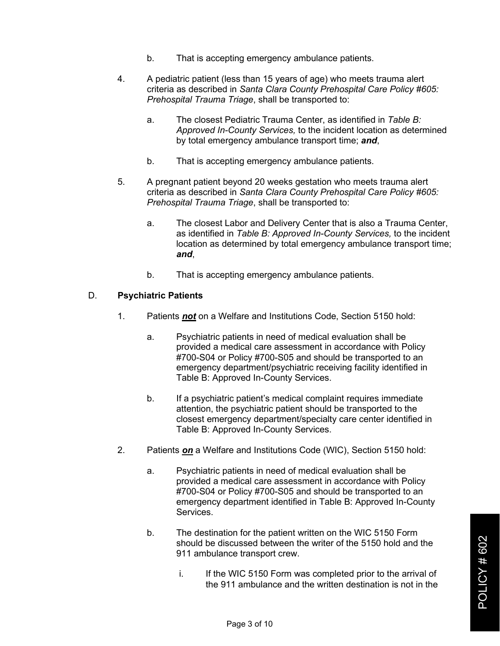- b. That is accepting emergency ambulance patients.
- 4. A pediatric patient (less than 15 years of age) who meets trauma alert criteria as described in *Santa Clara County Prehospital Care Policy #605: Prehospital Trauma Triage*, shall be transported to:
	- a. The closest Pediatric Trauma Center, as identified in *Table B: Approved In-County Services,* to the incident location as determined by total emergency ambulance transport time; *and*,
	- b. That is accepting emergency ambulance patients.
- 5. A pregnant patient beyond 20 weeks gestation who meets trauma alert criteria as described in *Santa Clara County Prehospital Care Policy #605: Prehospital Trauma Triage*, shall be transported to:
	- a. The closest Labor and Delivery Center that is also a Trauma Center, as identified in *Table B: Approved In-County Services,* to the incident location as determined by total emergency ambulance transport time; *and*,
	- b. That is accepting emergency ambulance patients.

#### D. **Psychiatric Patients**

- 1. Patients *not* on a Welfare and Institutions Code, Section 5150 hold:
	- a. Psychiatric patients in need of medical evaluation shall be provided a medical care assessment in accordance with Policy #700-S04 or Policy #700-S05 and should be transported to an emergency department/psychiatric receiving facility identified in Table B: Approved In-County Services.
	- b. If a psychiatric patient's medical complaint requires immediate attention, the psychiatric patient should be transported to the closest emergency department/specialty care center identified in Table B: Approved In-County Services.
- 2. Patients *on* a Welfare and Institutions Code (WIC), Section 5150 hold:
	- a. Psychiatric patients in need of medical evaluation shall be provided a medical care assessment in accordance with Policy #700-S04 or Policy #700-S05 and should be transported to an emergency department identified in Table B: Approved In-County Services.
	- b. The destination for the patient written on the WIC 5150 Form should be discussed between the writer of the 5150 hold and the 911 ambulance transport crew.
		- i. If the WIC 5150 Form was completed prior to the arrival of the 911 ambulance and the written destination is not in the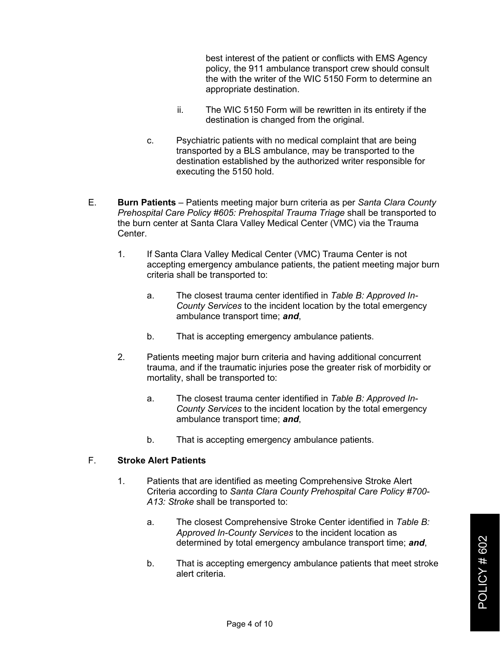best interest of the patient or conflicts with EMS Agency policy, the 911 ambulance transport crew should consult the with the writer of the WIC 5150 Form to determine an appropriate destination.

- ii. The WIC 5150 Form will be rewritten in its entirety if the destination is changed from the original.
- c. Psychiatric patients with no medical complaint that are being transported by a BLS ambulance, may be transported to the destination established by the authorized writer responsible for executing the 5150 hold.
- E. **Burn Patients** Patients meeting major burn criteria as per *Santa Clara County Prehospital Care Policy #605: Prehospital Trauma Triage* shall be transported to the burn center at Santa Clara Valley Medical Center (VMC) via the Trauma Center.
	- 1. If Santa Clara Valley Medical Center (VMC) Trauma Center is not accepting emergency ambulance patients, the patient meeting major burn criteria shall be transported to:
		- a. The closest trauma center identified in *Table B: Approved In-County Services* to the incident location by the total emergency ambulance transport time; *and*,
		- b. That is accepting emergency ambulance patients.
	- 2. Patients meeting major burn criteria and having additional concurrent trauma, and if the traumatic injuries pose the greater risk of morbidity or mortality, shall be transported to:
		- a. The closest trauma center identified in *Table B: Approved In-County Services* to the incident location by the total emergency ambulance transport time; *and*,
		- b. That is accepting emergency ambulance patients.

#### F. **Stroke Alert Patients**

- 1. Patients that are identified as meeting Comprehensive Stroke Alert Criteria according to *Santa Clara County Prehospital Care Policy #700- A13: Stroke* shall be transported to:
	- a. The closest Comprehensive Stroke Center identified in *Table B: Approved In-County Services* to the incident location as determined by total emergency ambulance transport time; *and*,
	- b. That is accepting emergency ambulance patients that meet stroke alert criteria.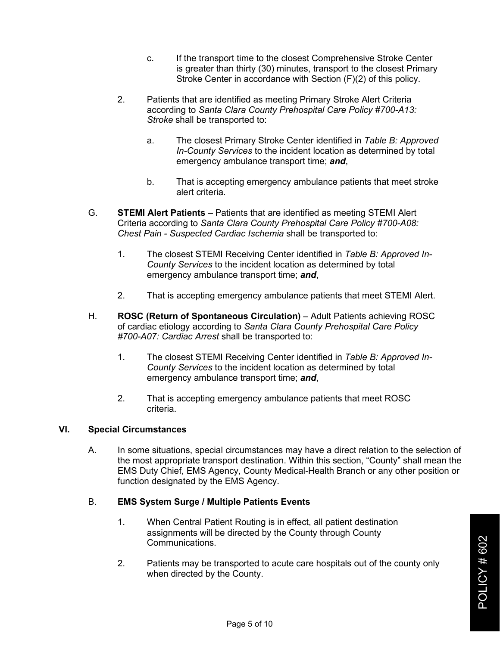- c. If the transport time to the closest Comprehensive Stroke Center is greater than thirty (30) minutes, transport to the closest Primary Stroke Center in accordance with Section (F)(2) of this policy.
- 2. Patients that are identified as meeting Primary Stroke Alert Criteria according to *Santa Clara County Prehospital Care Policy #700-A13: Stroke* shall be transported to:
	- a. The closest Primary Stroke Center identified in *Table B: Approved In-County Services* to the incident location as determined by total emergency ambulance transport time; *and*,
	- b. That is accepting emergency ambulance patients that meet stroke alert criteria.
- G. **STEMI Alert Patients** Patients that are identified as meeting STEMI Alert Criteria according to *Santa Clara County Prehospital Care Policy #700-A08: Chest Pain - Suspected Cardiac Ischemia* shall be transported to:
	- 1. The closest STEMI Receiving Center identified in *Table B: Approved In-County Services* to the incident location as determined by total emergency ambulance transport time; *and*,
	- 2. That is accepting emergency ambulance patients that meet STEMI Alert.
- H. **ROSC (Return of Spontaneous Circulation)** Adult Patients achieving ROSC of cardiac etiology according to *Santa Clara County Prehospital Care Policy #700-A07: Cardiac Arrest* shall be transported to:
	- 1. The closest STEMI Receiving Center identified in *Table B: Approved In-County Services* to the incident location as determined by total emergency ambulance transport time; *and*,
	- 2. That is accepting emergency ambulance patients that meet ROSC criteria.

#### **VI. Special Circumstances**

A. In some situations, special circumstances may have a direct relation to the selection of the most appropriate transport destination. Within this section, "County" shall mean the EMS Duty Chief, EMS Agency, County Medical-Health Branch or any other position or function designated by the EMS Agency.

#### B. **EMS System Surge / Multiple Patients Events**

- 1. When Central Patient Routing is in effect, all patient destination assignments will be directed by the County through County Communications.
- 2. Patients may be transported to acute care hospitals out of the county only when directed by the County.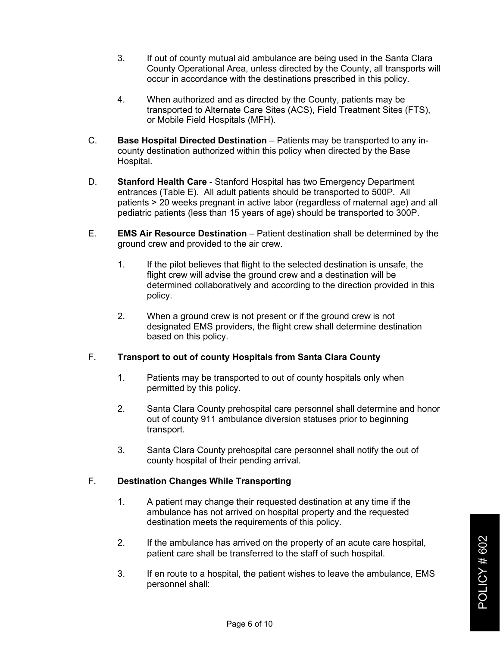- 3. If out of county mutual aid ambulance are being used in the Santa Clara County Operational Area, unless directed by the County, all transports will occur in accordance with the destinations prescribed in this policy.
- 4. When authorized and as directed by the County, patients may be transported to Alternate Care Sites (ACS), Field Treatment Sites (FTS), or Mobile Field Hospitals (MFH).
- C. **Base Hospital Directed Destination** Patients may be transported to any incounty destination authorized within this policy when directed by the Base Hospital.
- D. **Stanford Health Care**  Stanford Hospital has two Emergency Department entrances (Table E). All adult patients should be transported to 500P. All patients > 20 weeks pregnant in active labor (regardless of maternal age) and all pediatric patients (less than 15 years of age) should be transported to 300P.
- E. **EMS Air Resource Destination** Patient destination shall be determined by the ground crew and provided to the air crew.
	- 1. If the pilot believes that flight to the selected destination is unsafe, the flight crew will advise the ground crew and a destination will be determined collaboratively and according to the direction provided in this policy.
	- 2. When a ground crew is not present or if the ground crew is not designated EMS providers, the flight crew shall determine destination based on this policy.

## F. **Transport to out of county Hospitals from Santa Clara County**

- 1. Patients may be transported to out of county hospitals only when permitted by this policy.
- 2. Santa Clara County prehospital care personnel shall determine and honor out of county 911 ambulance diversion statuses prior to beginning transport.
- 3. Santa Clara County prehospital care personnel shall notify the out of county hospital of their pending arrival.

## F. **Destination Changes While Transporting**

- 1. A patient may change their requested destination at any time if the ambulance has not arrived on hospital property and the requested destination meets the requirements of this policy.
- 2. If the ambulance has arrived on the property of an acute care hospital, patient care shall be transferred to the staff of such hospital.
- 3. If en route to a hospital, the patient wishes to leave the ambulance, EMS personnel shall: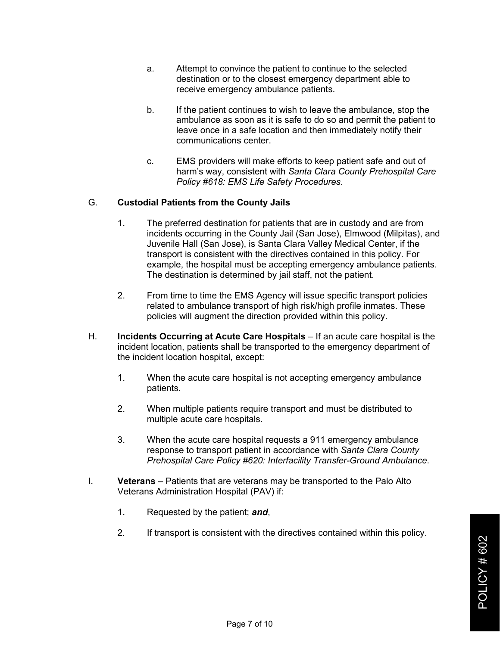- a. Attempt to convince the patient to continue to the selected destination or to the closest emergency department able to receive emergency ambulance patients.
- b. If the patient continues to wish to leave the ambulance, stop the ambulance as soon as it is safe to do so and permit the patient to leave once in a safe location and then immediately notify their communications center.
- c. EMS providers will make efforts to keep patient safe and out of harm's way, consistent with *Santa Clara County Prehospital Care Policy #618: EMS Life Safety Procedures*.

#### G. **Custodial Patients from the County Jails**

- 1. The preferred destination for patients that are in custody and are from incidents occurring in the County Jail (San Jose), Elmwood (Milpitas), and Juvenile Hall (San Jose), is Santa Clara Valley Medical Center, if the transport is consistent with the directives contained in this policy. For example, the hospital must be accepting emergency ambulance patients. The destination is determined by jail staff, not the patient.
- 2. From time to time the EMS Agency will issue specific transport policies related to ambulance transport of high risk/high profile inmates. These policies will augment the direction provided within this policy.
- H. **Incidents Occurring at Acute Care Hospitals** If an acute care hospital is the incident location, patients shall be transported to the emergency department of the incident location hospital, except:
	- 1. When the acute care hospital is not accepting emergency ambulance patients.
	- 2. When multiple patients require transport and must be distributed to multiple acute care hospitals.
	- 3. When the acute care hospital requests a 911 emergency ambulance response to transport patient in accordance with *Santa Clara County Prehospital Care Policy #620: Interfacility Transfer-Ground Ambulance*.
- I. **Veterans** Patients that are veterans may be transported to the Palo Alto Veterans Administration Hospital (PAV) if:
	- 1. Requested by the patient; *and*,
	- 2. If transport is consistent with the directives contained within this policy.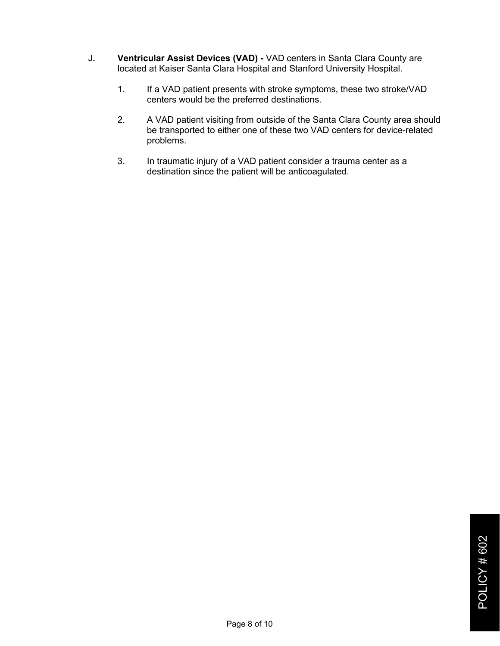- J**. Ventricular Assist Devices (VAD) -** VAD centers in Santa Clara County are located at Kaiser Santa Clara Hospital and Stanford University Hospital.
	- 1. If a VAD patient presents with stroke symptoms, these two stroke/VAD centers would be the preferred destinations.
	- 2. A VAD patient visiting from outside of the Santa Clara County area should be transported to either one of these two VAD centers for device-related problems.
	- 3. In traumatic injury of a VAD patient consider a trauma center as a destination since the patient will be anticoagulated.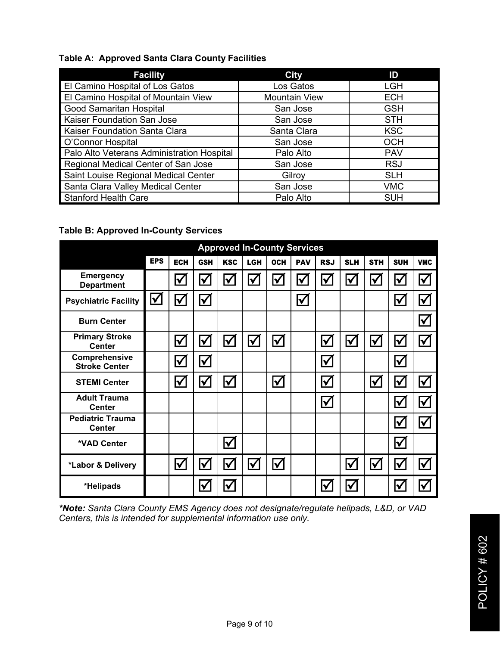## **Table A: Approved Santa Clara County Facilities**

| <b>Facility</b>                            | <b>City</b>          | ID         |  |  |
|--------------------------------------------|----------------------|------------|--|--|
| El Camino Hospital of Los Gatos            | Los Gatos            | <b>LGH</b> |  |  |
| El Camino Hospital of Mountain View        | <b>Mountain View</b> | <b>ECH</b> |  |  |
| <b>Good Samaritan Hospital</b>             | San Jose             | <b>GSH</b> |  |  |
| Kaiser Foundation San Jose                 | San Jose             | <b>STH</b> |  |  |
| Kaiser Foundation Santa Clara              | Santa Clara          | <b>KSC</b> |  |  |
| O'Connor Hospital                          | San Jose             | <b>OCH</b> |  |  |
| Palo Alto Veterans Administration Hospital | Palo Alto            | <b>PAV</b> |  |  |
| Regional Medical Center of San Jose        | San Jose             | <b>RSJ</b> |  |  |
| Saint Louise Regional Medical Center       | Gilroy               | <b>SLH</b> |  |  |
| Santa Clara Valley Medical Center          | San Jose             | <b>VMC</b> |  |  |
| <b>Stanford Health Care</b>                | Palo Alto            | <b>SUH</b> |  |  |

## **Table B: Approved In-County Services**

|                                          |                      | <b>Approved In-County Services</b> |                      |                         |                      |                      |                      |                      |                      |            |                         |                      |
|------------------------------------------|----------------------|------------------------------------|----------------------|-------------------------|----------------------|----------------------|----------------------|----------------------|----------------------|------------|-------------------------|----------------------|
|                                          | <b>EPS</b>           | <b>ECH</b>                         | <b>GSH</b>           | <b>KSC</b>              | <b>LGH</b>           | <b>OCH</b>           | <b>PAV</b>           | <b>RSJ</b>           | <b>SLH</b>           | <b>STH</b> | <b>SUH</b>              | <b>VMC</b>           |
| <b>Emergency</b><br><b>Department</b>    |                      | $\blacktriangledown$               | $\blacktriangledown$ | $\blacktriangledown$    | $\blacktriangledown$ | $\blacktriangledown$ | ΙV                   | $\blacktriangledown$ | $\blacktriangledown$ | ΙV         | √                       | $\blacktriangledown$ |
| <b>Psychiatric Facility</b>              | $\blacktriangledown$ | $\blacktriangledown$               | $\blacktriangledown$ |                         |                      |                      | $\blacktriangledown$ |                      |                      |            | $\checkmark$            | $\blacktriangledown$ |
| <b>Burn Center</b>                       |                      |                                    |                      |                         |                      |                      |                      |                      |                      |            |                         | $\blacktriangledown$ |
| <b>Primary Stroke</b><br><b>Center</b>   |                      | $\bm{\mathcal{V}}$                 | $\blacktriangledown$ | $\bm{\mathsf{V}}$       | $\blacktriangledown$ | $\bm{\triangledown}$ |                      | $\blacklozenge$      | $\blacktriangledown$ | I√         | $\blacklozenge$         | $\blacktriangledown$ |
| Comprehensive<br><b>Stroke Center</b>    |                      | $\blacktriangledown$               | $\blacktriangledown$ |                         |                      |                      |                      | $\blacklozenge$      |                      |            | $\blacktriangledown$    |                      |
| <b>STEMI Center</b>                      |                      | $\blacktriangledown$               | $\blacktriangledown$ | $\blacktriangledown$    |                      | $\blacktriangledown$ |                      | $\blacktriangledown$ |                      | ⋈          | $\checkmark$            | $\blacktriangledown$ |
| <b>Adult Trauma</b><br><b>Center</b>     |                      |                                    |                      |                         |                      |                      |                      | $\blacklozenge$      |                      |            | $\overline{\mathbf{Y}}$ | $\blacktriangledown$ |
| <b>Pediatric Trauma</b><br><b>Center</b> |                      |                                    |                      |                         |                      |                      |                      |                      |                      |            | ✔                       | $\blacktriangledown$ |
| *VAD Center                              |                      |                                    |                      | $\blacktriangledown$    |                      |                      |                      |                      |                      |            | $\checkmark$            |                      |
| *Labor & Delivery                        |                      | $\blacktriangledown$               | $\blacktriangledown$ | $\blacktriangledown$    | $\blacktriangledown$ | $\bm{\nabla}$        |                      |                      | $\blacktriangledown$ | l√         | $\overline{\mathsf{V}}$ | $\bm{\nabla}$        |
| *Helipads                                |                      |                                    | $\blacktriangledown$ | $\overline{\checkmark}$ |                      |                      |                      |                      | $\blacktriangledown$ |            |                         | $\blacktriangledown$ |

*\*Note: Santa Clara County EMS Agency does not designate/regulate helipads, L&D, or VAD Centers, this is intended for supplemental information use only.*